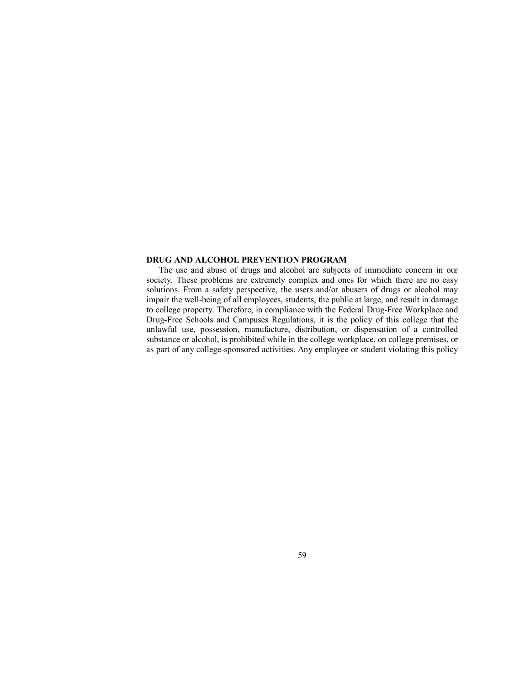## **DRUG AND ALCOHOL PREVENTION PROGRAM**

The use and abuse of drugs and alcohol are subjects of immediate concern in our society. These problems are extremely complex and ones for which there are no easy solutions. From a safety perspective, the users and/or abusers of drugs or alcohol may impair the well-being of all employees, students, the public at large, and result in damage to college property. Therefore, in compliance with the Federal Drug-Free Workplace and Drug-Free Schools and Campuses Regulations, it is the policy of this college that the unlawful use, possession, manufacture, distribution, or dispensation of a controlled substance or alcohol, is prohibited while in the college workplace, on college premises, or as part of any college-sponsored activities. Any employee or student violating this policy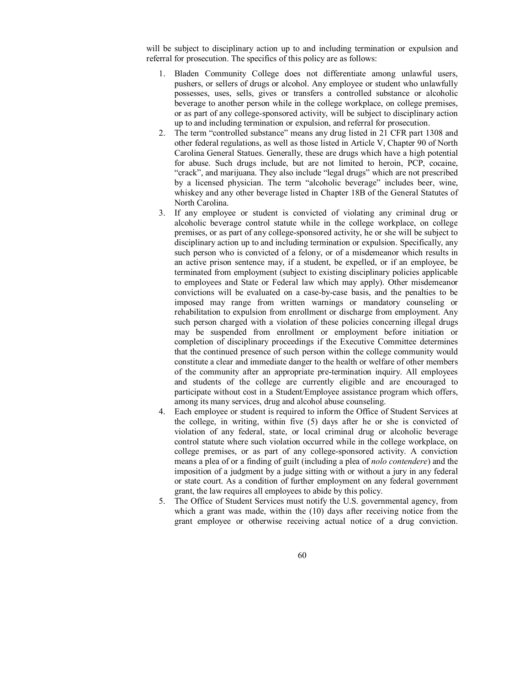will be subject to disciplinary action up to and including termination or expulsion and referral for prosecution. The specifics of this policy are as follows:

- 1. Bladen Community College does not differentiate among unlawful users, pushers, or sellers of drugs or alcohol. Any employee or student who unlawfully possesses, uses, sells, gives or transfers a controlled substance or alcoholic beverage to another person while in the college workplace, on college premises, or as part of any college-sponsored activity, will be subject to disciplinary action up to and including termination or expulsion, and referral for prosecution.
- 2. The term "controlled substance" means any drug listed in 21 CFR part 1308 and other federal regulations, as well as those listed in Article V, Chapter 90 of North Carolina General Statues. Generally, these are drugs which have a high potential for abuse. Such drugs include, but are not limited to heroin, PCP, cocaine, "crack", and marijuana. They also include "legal drugs" which are not prescribed by a licensed physician. The term "alcoholic beverage" includes beer, wine, whiskey and any other beverage listed in Chapter 18B of the General Statutes of North Carolina.
- 3. If any employee or student is convicted of violating any criminal drug or alcoholic beverage control statute while in the college workplace, on college premises, or as part of any college-sponsored activity, he or she will be subject to disciplinary action up to and including termination or expulsion. Specifically, any such person who is convicted of a felony, or of a misdemeanor which results in an active prison sentence may, if a student, be expelled, or if an employee, be terminated from employment (subject to existing disciplinary policies applicable to employees and State or Federal law which may apply). Other misdemeanor convictions will be evaluated on a case-by-case basis, and the penalties to be imposed may range from written warnings or mandatory counseling or rehabilitation to expulsion from enrollment or discharge from employment. Any such person charged with a violation of these policies concerning illegal drugs may be suspended from enrollment or employment before initiation or completion of disciplinary proceedings if the Executive Committee determines that the continued presence of such person within the college community would constitute a clear and immediate danger to the health or welfare of other members of the community after an appropriate pre-termination inquiry. All employees and students of the college are currently eligible and are encouraged to participate without cost in a Student/Employee assistance program which offers, among its many services, drug and alcohol abuse counseling.
- 4. Each employee or student is required to inform the Office of Student Services at the college, in writing, within five (5) days after he or she is convicted of violation of any federal, state, or local criminal drug or alcoholic beverage control statute where such violation occurred while in the college workplace, on college premises, or as part of any college-sponsored activity. A conviction means a plea of or a finding of guilt (including a plea of *nolo contendere*) and the imposition of a judgment by a judge sitting with or without a jury in any federal or state court. As a condition of further employment on any federal government grant, the law requires all employees to abide by this policy.
- 5. The Office of Student Services must notify the U.S. governmental agency, from which a grant was made, within the (10) days after receiving notice from the grant employee or otherwise receiving actual notice of a drug conviction.